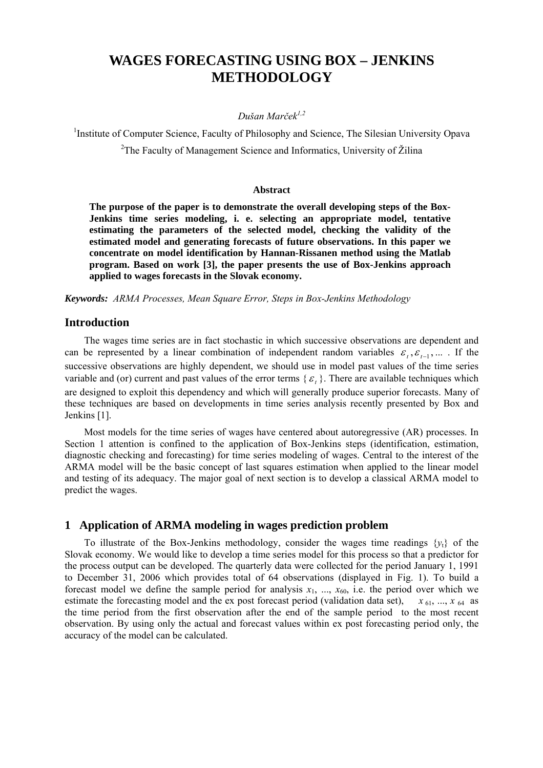# **WAGES FORECASTING USING BOX – JENKINS METHODOLOGY**

### *Dušan Marček1,2*

<sup>1</sup>Institute of Computer Science, Faculty of Philosophy and Science, The Silesian University Opava

<sup>2</sup>The Faculty of Management Science and Informatics, University of Žilina

### **Abstract**

**The purpose of the paper is to demonstrate the overall developing steps of the Box-Jenkins time series modeling, i. e. selecting an appropriate model, tentative estimating the parameters of the selected model, checking the validity of the estimated model and generating forecasts of future observations. In this paper we concentrate on model identification by Hannan-Rissanen method using the Matlab program. Based on work [3], the paper presents the use of Box-Jenkins approach applied to wages forecasts in the Slovak economy.** 

*Keywords: ARMA Processes, Mean Square Error, Steps in Box-Jenkins Methodology*

### **Introduction**

The wages time series are in fact stochastic in which successive observations are dependent and can be represented by a linear combination of independent random variables  $\varepsilon_t$ ,  $\varepsilon_{t-1}$ , ... . If the successive observations are highly dependent, we should use in model past values of the time series variable and (or) current and past values of the error terms  $\{\varepsilon_n\}$ . There are available techniques which are designed to exploit this dependency and which will generally produce superior forecasts. Many of these techniques are based on developments in time series analysis recently presented by Box and Jenkins [1].

Most models for the time series of wages have centered about autoregressive (AR) processes. In Section 1 attention is confined to the application of Box-Jenkins steps (identification, estimation, diagnostic checking and forecasting) for time series modeling of wages. Central to the interest of the ARMA model will be the basic concept of last squares estimation when applied to the linear model and testing of its adequacy. The major goal of next section is to develop a classical ARMA model to predict the wages.

# **1 Application of ARMA modeling in wages prediction problem**

To illustrate of the Box-Jenkins methodology, consider the wages time readings  $\{y_t\}$  of the Slovak economy. We would like to develop a time series model for this process so that a predictor for the process output can be developed. The quarterly data were collected for the period January 1, 1991 to December 31, 2006 which provides total of 64 observations (displayed in Fig. 1). To build a forecast model we define the sample period for analysis  $x_1$ , ...,  $x_{60}$ , i.e. the period over which we estimate the forecasting model and the ex post forecast period (validation data set),  $x_{61}$ , ...,  $x_{64}$  as estimate the forecasting model and the ex post forecast period (validation data set), the time period from the first observation after the end of the sample period to the most recent observation. By using only the actual and forecast values within ex post forecasting period only, the accuracy of the model can be calculated.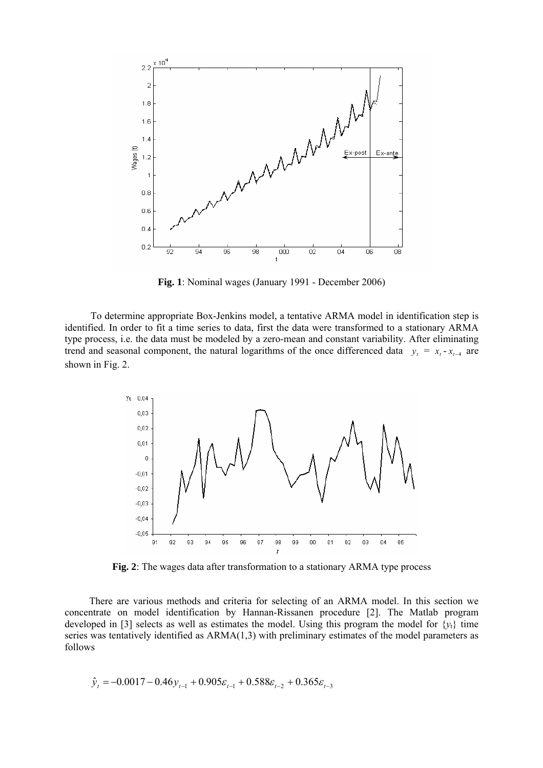

**Fig. 1**: Nominal wages (January 1991 - December 2006)

To determine appropriate Box-Jenkins model, a tentative ARMA model in identification step is identified. In order to fit a time series to data, first the data were transformed to a stationary ARMA type process, i.e. the data must be modeled by a zero-mean and constant variability. After eliminating trend and seasonal component, the natural logarithms of the once differenced data  $y_t = x_t - x_{t-4}$  are shown in Fig. 2.



**Fig. 2**: The wages data after transformation to a stationary ARMA type process

There are various methods and criteria for selecting of an ARMA model. In this section we concentrate on model identification by Hannan-Rissanen procedure [2]. The Matlab program developed in [3] selects as well as estimates the model. Using this program the model for  $\{y_t\}$  time series was tentatively identified as ARMA(1,3) with preliminary estimates of the model parameters as follows

$$
\hat{y}_t = -0.0017 - 0.46y_{t-1} + 0.905\varepsilon_{t-1} + 0.588\varepsilon_{t-2} + 0.365\varepsilon_{t-3}
$$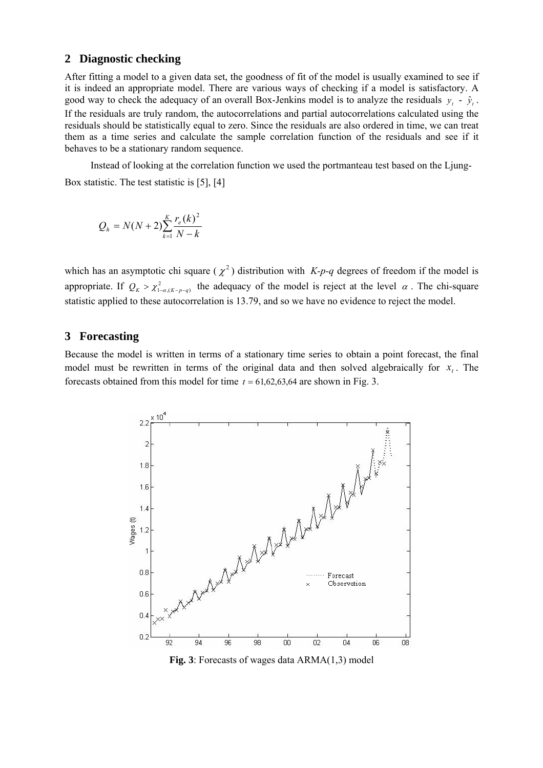### **2 Diagnostic checking**

After fitting a model to a given data set, the goodness of fit of the model is usually examined to see if it is indeed an appropriate model. There are various ways of checking if a model is satisfactory. A good way to check the adequacy of an overall Box-Jenkins model is to analyze the residuals  $y_t - \hat{y}_t$ . If the residuals are truly random, the autocorrelations and partial autocorrelations calculated using the residuals should be statistically equal to zero. Since the residuals are also ordered in time, we can treat them as a time series and calculate the sample correlation function of the residuals and see if it behaves to be a stationary random sequence.

Instead of looking at the correlation function we used the portmanteau test based on the Ljung-Box statistic. The test statistic is [5], [4]

$$
Q_h = N(N+2) \sum_{k=1}^{K} \frac{r_e(k)^2}{N-k}
$$

which has an asymptotic chi square  $(\chi^2)$  distribution with *K-p-q* degrees of freedom if the model is appropriate. If  $Q_K > \chi^2_{1-\alpha,(K-p-q)}$  the adequacy of the model is reject at the level  $\alpha$ . The chi-square statistic applied to these autocorrelation is 13.79, and so we have no evidence to reject the model.

## **3 Forecasting**

Because the model is written in terms of a stationary time series to obtain a point forecast, the final model must be rewritten in terms of the original data and then solved algebraically for  $x_t$ . The forecasts obtained from this model for time  $t = 61,62,63,64$  are shown in Fig. 3.



**Fig. 3**: Forecasts of wages data ARMA(1,3) model